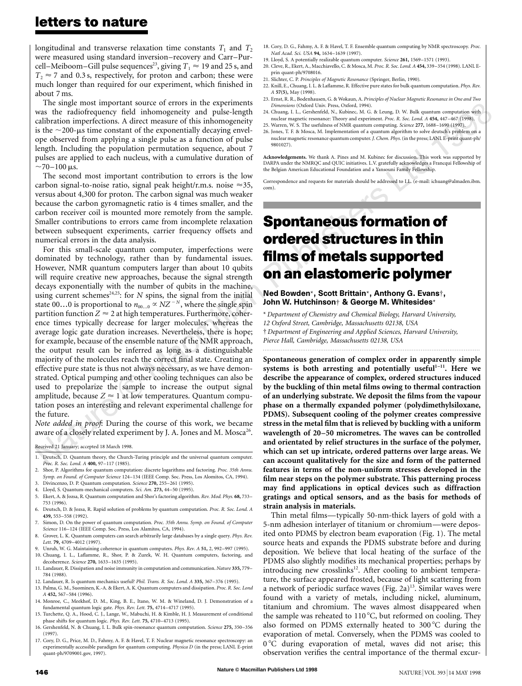longitudinal and transverse relaxation time constants  $T_1$  and  $T_2$ were measured using standard inversion–recovery and Carr–Purcell–Meiboom–Gill pulse sequences<sup>23</sup>, giving  $T_1 \approx 19$  and 25 s, and  $T<sub>2</sub> \approx 7$  and 0.3 s, respectively, for proton and carbon; these were much longer than required for our experiment, which finished in about 7 ms.

The single most important source of errors in the experiments was the radiofrequency field inhomogeneity and pulse-length calibration imperfections. A direct measure of this inhomogeneity is the  $\sim$ 200-µs time constant of the exponentially decaying envelope observed from applying a single pulse as a function of pulse length. Including the population permutation sequence, about 7 pulses are applied to each nucleus, with a cumulative duration of  $\sim$ 70–100 µs.

The second most important contribution to errors is the low carbon signal-to-noise ratio, signal peak height/r.m.s. noise  $\approx$ 35, versus about 4,300 for proton. The carbon signal was much weaker because the carbon gyromagnetic ratio is 4 times smaller, and the carbon receiver coil is mounted more remotely from the sample. Smaller contributions to errors came from incomplete relaxation between subsequent experiments, carrier frequency offsets and numerical errors in the data analysis.

For this small-scale quantum computer, imperfections were dominated by technology, rather than by fundamental issues. However, NMR quantum computers larger than about 10 qubits will require creative new approaches, because the signal strength decays exponentially with the number of qubits in the machine, using current schemes<sup>24,25</sup>: for *N* spins, the signal from the initial state 00...0 is proportional to  $n_{00...0} \propto NZ^{-N}$ , where the single spin partition function  $Z \approx 2$  at high temperatures. Furthermore, coherence times typically decrease for larger molecules, whereas the average logic gate duration increases. Nevertheless, there is hope; for example, because of the ensemble nature of the NMR approach, the output result can be inferred as long as a distinguishable majority of the molecules reach the correct final state. Creating an effective pure state is thus not always necessary, as we have demonstrated. Optical pumping and other cooling techniques can also be used to prepolarize the sample to increase the output signal amplitude, because  $Z \approx 1$  at low temperatures. Quantum computation poses an interesting and relevant experimental challenge for the future.

*Note added in proof*: During the course of this work, we became aware of a closely related experiment by J. A. Jones and M. Mosca<sup>26</sup>.

Received 21 January; accepted 18 March 1998.

- 1. Deutsch, D. Quantum theory, the Church-Turing principle and the universal quantum computer. *Proc. R. Soc. Lond. A* **400,** 97–117 (1985).
- 2. Shor, P. Algorithms for quantum computation: discrete logarithms and factoring. *Proc. 35th Annu. Symp. on Found. of Computer Science* 124–134 (IEEE Comp. Soc. Press, Los Alomitos, CA, 1994). 3. Divincenzo, D. P. Quantum computation. *Science* **270,** 255–261 (1995).
- 4. Lloyd, S. Quantum-mechanical computers. *Sci. Am.* **273,** 44–50 (1995).
- 5. Ekert, A. & Jozsa, R. Quantum computation and Shor's factoring algorithm. *Rev. Mod. Phys.* **68,** 733– 753 (1996).
- 6. Deutsch, D. & Jozsa, R. Rapid solution of problems by quantum computation. *Proc. R. Soc. Lond. A* **439,** 553–558 (1992).
- 7. Simon, D. On the power of quantum computation. *Proc. 35th Annu. Symp. on Found. of Computer Science* 116–124 (IEEE Comp. Soc. Press, Los Alamitos, CA, 1994).
- 8. Grover, L. K. Quantum computers can search arbitrarily large databases by a single query. *Phys. Rev. Lett.* **79,** 4709–4012 (1997).
- 9. Unruh, W. G. Maintaining coherence in quantum computers. *Phys. Rev. A* **51,** 2, 992–997 (1995). 10. Chuang, I. L., Laflamme, R., Shor, P. & Zurek, W. H. Quantum computers, factoring, and
- decoherence. *Science* **270,** 1633–1635 (1995). 11. Landauer, R. Dissipation and noise immunity in computation and communication. *Nature* **335,** 779– 784 (1988).
- 12. Landauer, R. Is quantum mechanics useful? *Phil. Trans. R. Soc. Lond. A* **335,** 367–376 (1995).
- 13. Palma, G. M., Suominen, K.-A. & Ekert, A. K. Quantum computers and dissipation. *Proc. R. Soc. Lond A* **452,** 567–584 (1996).
- 14. Monroe, C., Meekhof, D. M., King, B. E., Itano, W. M. & Wineland, D. J. Demonstration of a fundamental quantum logic gate. *Phys. Rev. Lett.* **75,** 4714–4717 (1995).
- 15. Turchette, Q. A., Hood, C. J., Lange, W., Mabuchi, H. & Kimble, H. J. Measurement of conditional phase shifts for quantum logic. *Phys. Rev. Lett.* **75,** 4710–4713 (1995). 16. Gershenfeld, N. & Chuang, I. L. Bulk spin-resonance quantum computation. *Science* **275,** 350–356
- (1997). 17. Cory, D. G., Price, M. D., Fahmy, A. F. & Havel, T. F. Nuclear magnetic resonance spectroscopy: an
- experimentally accessible paradigm for quantum computing. *Physica D* (in the press; LANL E-print quant-ph/9709001.gov, 1997).
- 18. Cory, D. G., Fahmy, A. F. & Havel, T. F. Ensemble quantum computing by NMR spectroscopy. *Proc. Natl Acad. Sci. USA* **94,** 1634–1639 (1997).
- 19. Lloyd, S. A potentially realizable quantum computer. *Science* **261,** 1569–1571 (1993). 20. Cleve, R., Ekert, A., Macchiavello, C. & Mosca, M. *Proc. R. Soc. Lond. A* **454,** 339–354 (1998). LANL Eprin quant-ph/9708016.
- 21. Slichter, C. P. *Principles of Magnetic Resonance* (Springer, Berlin, 1990).
- 22. Knill, E., Chuang, I. L. & Laflamme, R. Effective pure states for bulk quantum computation. *Phys. Rev. A* **57(5),** May (1998).
- 23. Ernst, R. R., Bodenhausen, G. & Wokaun, A. *Principles of Nuclear Magnetic Resonance in One and Two Dimensions* (Oxford Univ. Press, Oxford, 1994).
- $\begin{array}{c}\n\text{with}\n\text{8.}\n\end{array}$ 24. Chuang, I. L., Gershenfeld, N., Kubinec, M. G. & Leung, D. W. Bulk quantum computation with nuclear magnetic resonance: Theory and experiment. *Proc. R. Soc. Lond. A* **454,** 447–467 (1998). 25. Warren, W. S. The usefulness of NMR quantum computing. *Science* **277,** 1688–1690 (1997).
- 26. Jones, T. F. & Mosca, M. Implementation of a quantum algorithm to solve deutsch's problem on a nuclear magnetic resonance quantum computer. *J. Chem. Phys.*(in the press; LANL E-print quant-ph/ 9801027).

**Acknowledgements.** We thank A. Pines and M. Kubinec for discussion. This work was supported by DARPA under the NMRQC and QUIC initiatives. L.V. gratefully acknowledges a Francqui Fellowship of the Belgian American Educational Foundation and a Yansouni Family Fellowship.

Correspondence and requests for materials should be addressed to I.L. (e-mail: ichuang@almaden.ibm. com).

# **Spontaneous formation of ordered structures in thin films of metals supported on an elastomeric polymer**

#### Ned Bowden\*, Scott Brittain\*, Anthony G. Evans†, John W. Hutchinson† & George M. Whitesides\*

\* *Department of Chemistry and Chemical Biology, Harvard University, 12 Oxford Street, Cambridge, Massachusetts 02138, USA* † *Department of Engineering and Applied Sciences, Harvard University, Pierce Hall, Cambridge, Massachusetts 02138, USA*

*.........................................................................................................................*

**Spontaneous generation of complex order in apparently simple** systems is both arresting and potentially useful<sup>1-11</sup>. Here we **describe the appearance of complex, ordered structures induced by the buckling of thin metal films owing to thermal contraction of an underlying substrate. We deposit the films from the vapour phase on a thermally expanded polymer (polydimethylsiloxane, PDMS). Subsequent cooling of the polymer creates compressive stress in the metal film that is relieved by buckling with a uniform wavelength of 20–50 micrometres. The waves can be controlled and orientated by relief structures in the surface of the polymer, which can set up intricate, ordered patterns over large areas. We can account qualitatively for the size and form of the patterned features in terms of the non-uniform stresses developed in the film near steps on the polymer substrate. This patterning process may find applications in optical devices such as diffraction gratings and optical sensors, and as the basis for methods of strain analysis in materials.**

Thin metal films—typically 50-nm-thick layers of gold with a 5-nm adhesion interlayer of titanium or chromium—were deposited onto PDMS by electron beam evaporation (Fig. 1). The metal source heats and expands the PDMS substrate before and during deposition. We believe that local heating of the surface of the PDMS also slightly modifies its mechanical properties; perhaps by introducing new crosslinks<sup>12</sup>. After cooling to ambient temperature, the surface appeared frosted, because of light scattering from a network of periodic surface waves (Fig. 2a)<sup>13</sup>. Similar waves were found with a variety of metals, including nickel, aluminum, titanium and chromium. The waves almost disappeared when the sample was reheated to  $110\,^{\circ}\text{C}$ , but reformed on cooling. They also formed on PDMS externally heated to  $300^{\circ}$ C during the evaporation of metal. Conversely, when the PDMS was cooled to  $0^{\circ}$ C during evaporation of metal, waves did not arise; this observation verifies the central importance of the thermal excur-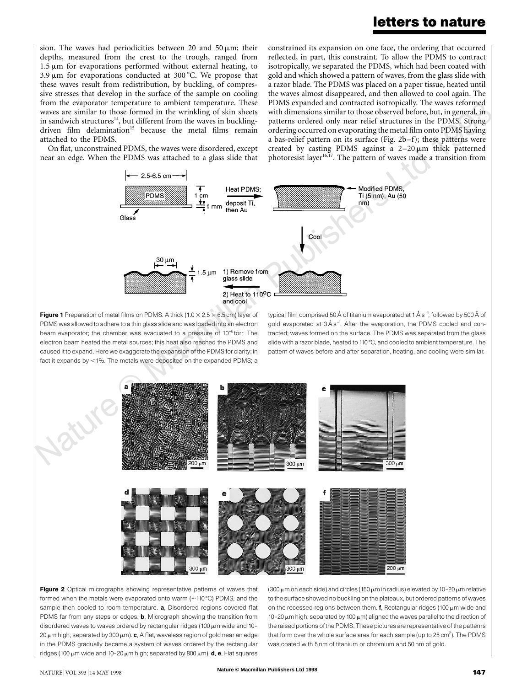sion. The waves had periodicities between 20 and 50  $\mu$ m; their depths, measured from the crest to the trough, ranged from  $1.5 \mu m$  for evaporations performed without external heating, to 3.9  $\mu$ m for evaporations conducted at 300 °C. We propose that these waves result from redistribution, by buckling, of compressive stresses that develop in the surface of the sample on cooling from the evaporator temperature to ambient temperature. These waves are similar to those formed in the wrinkling of skin sheets in sandwich structures $14$ , but different from the waves in bucklingdriven film delamination<sup>15</sup> because the metal films remain attached to the PDMS.

PDMS expanded and contracted isotropically. The waves reformed<br>with dimensions similar to those observed before, but, in general, in<br>patterns ordered only near relief structures in the PDMS. Strong constrained its expansion on one face, the ordering that occurred reflected, in part, this constraint. To allow the PDMS to contract isotropically, we separated the PDMS, which had been coated with gold and which showed a pattern of waves, from the glass slide with a razor blade. The PDMS was placed on a paper tissue, heated until the waves almost disappeared, and then allowed to cool again. The PDMS expanded and contracted isotropically. The waves reformed with dimensions similar to those observed before, but, in general, in ordering occurred on evaporating the metal film onto PDMS having a bas-relief pattern on its surface (Fig. 2b–f); these patterns were created by casting PDMS against a  $2-20 \,\mu m$  thick patterned photoresist layer<sup>16,17</sup>. The pattern of waves made a transition from

On flat, unconstrained PDMS, the waves were disordered, except near an edge. When the PDMS was attached to a glass slide that



Figure 1 Preparation of metal films on PDMS. A thick (1.0  $\times$  2.5  $\times$  6.5 cm) layer of PDMS was allowed to adhere to a thin glass slide and was loaded into an electron beam evaporator; the chamber was evacuated to a pressure of 10<sup>−</sup><sup>6</sup> torr. The electron beam heated the metal sources; this heat also reached the PDMS and caused it to expand. Here we exaggerate the expansion of the PDMS for clarity; in fact it expands by  $<$ 1%. The metals were deposited on the expanded PDMS; a

typical film comprised 50Å of titanium evaporated at 1Ås<sup>−1</sup>, followed by 500Å of gold evaporated at 3Ås<sup>-1</sup>. After the evaporation, the PDMS cooled and contracted; waves formed on the surface. The PDMS was separated from the glass slide with a razor blade, heated to 110 °C, and cooled to ambient temperature. The pattern of waves before and after separation, heating, and cooling were similar.



Figure 2 Optical micrographs showing representative patterns of waves that formed when the metals were evaporated onto warm ( $\sim$ 110 °C) PDMS, and the sample then cooled to room temperature. a, Disordered regions covered flat PDMS far from any steps or edges. **b**, Micrograph showing the transition from disordered waves to waves ordered by rectangular ridges (100  $\mu$ m wide and 10-20  $\mu$ m high; separated by 300  $\mu$ m). c, A flat, waveless region of gold near an edge in the PDMS gradually became a system of waves ordered by the rectangular ridges (100  $\mu$ m wide and 10-20  $\mu$ m high; separated by 800  $\mu$ m). **d**, **e**, Flat squares

(300  $\mu$ m on each side) and circles (150  $\mu$ m in radius) elevated by 10-20  $\mu$ m relative to the surface showed no buckling on the plateaux, but ordered patterns of waves on the recessed regions between them.  $f$ , Rectangular ridges (100  $\mu$ m wide and 10-20  $\mu$ m high; separated by 100  $\mu$ m) aligned the waves parallel to the direction of the raised portions of the PDMS. These pictures are representative of the patterns that form over the whole surface area for each sample (up to 25 cm<sup>2</sup>). The PDMS was coated with 5 nm of titanium or chromium and 50 nm of gold.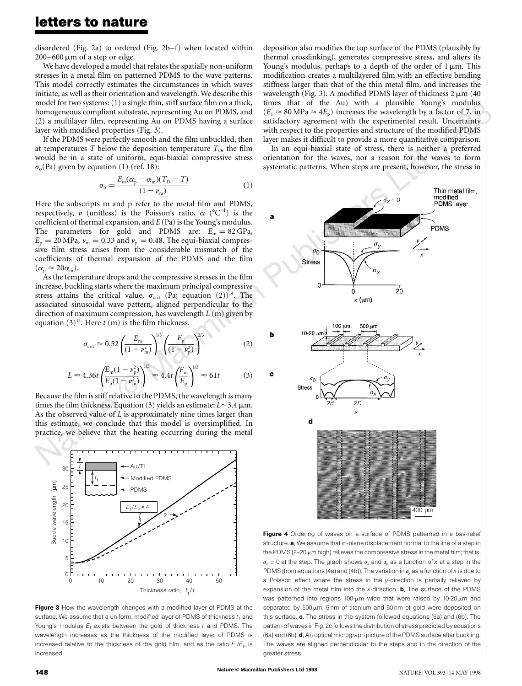disordered (Fig. 2a) to ordered (Fig. 2b–f) when located within  $200-600 \,\mu m$  of a step or edge.

We have developed a model that relates the spatially non-uniform stresses in a metal film on patterned PDMS to the wave patterns. This model correctly estimates the circumstances in which waves initiate, as well as their orientation and wavelength. We describe this model for two systems: (1) a single thin, stiff surface film on a thick, homogeneous compliant substrate, representing Au on PDMS, and (2) a multilayer film, representing Au on PDMS having a surface layer with modified properties (Fig. 3).

If the PDMS were perfectly smooth and the film unbuckled, then at temperatures *T* below the deposition temperature  $T<sub>D</sub>$ , the film would be in a state of uniform, equi-biaxial compressive stress  $\sigma$ <sub>o</sub>(Pa) given by equation (1) (ref. 18):

$$
\sigma_{\rm o} = \frac{E_{\rm m}(\alpha_{\rm p} - \alpha_{\rm m})(T_{\rm D} - T)}{(1 - \nu_{\rm m})} \tag{1}
$$

Here the subscripts m and p refer to the metal film and PDMS, respectively,  $\nu$  (unitless) is the Poisson's ratio,  $\alpha$  (°C<sup>-1</sup>) is the coefficient of thermal expansion, and *E* (Pa) is the Young's modulus. The parameters for gold and PDMS are:  $E_m = 82 \text{ GPa}$ ,  $E_p = 20 \text{ MPa}$ ,  $v_m = 0.33$  and  $v_p = 0.48$ . The equi-biaxial compressive film stress arises from the considerable mismatch of the coefficients of thermal expansion of the PDMS and the film  $(\alpha_{\rm p} \approx 20\alpha_{\rm m}).$ 

As the temperature drops and the compressive stresses in the film increase, buckling starts where the maximum principal compressive stress attains the critical value,  $\sigma_{\text{crit}}$  (Pa; equation (2))<sup>14</sup>. The associated sinusoidal wave pattern, aligned perpendicular to the direction of maximum compression, has wavelength *L* (m) given by equation  $(3)^{14}$ . Here *t* (m) is the film thickness.

$$
\sigma_{\rm crit} \approx 0.52 \left( \frac{E_{\rm m}}{(1 - \nu_{\rm m}^2)} \right)^{1/3} \left( \frac{E_{\rm p}}{(1 - \nu_{\rm p}^2)} \right)^{2/3} \tag{2}
$$

$$
L \approx 4.36t \left(\frac{E_{\rm m}(1-\nu_{\rm p}^2)}{E_{\rm p}(1-\nu_{\rm m}^2)}\right)^{1/3} \approx 4.4t \left(\frac{E_{\rm m}}{E_{\rm p}}\right)^{1/3} \approx 61t
$$
 (3)

Because the film is stiffrelative to the PDMS, the wavelength is many times the film thickness. Equation (3) yields an estimate:  $L \sim 3.4 \,\mu$ m. As the observed value of *L* is approximately nine times larger than this estimate, we conclude that this model is oversimplified. In practice, we believe that the heating occurring during the metal



Figure 3 How the wavelength changes with a modified layer of PDMS at the surface. We assume that a uniform, modified layer of PDMS of thickness  $t_1$  and Young's modulus  $E_1$  exists between the gold of thickness *t* and PDMS. The wavelength increases as the thickness of the modified layer of PDMS is increased relative to the thickness of the gold film, and as the ratio  $E_1/E_\mathrm{p}$  is increased

times that of the Au) with a plausible Young's modulus  $(E_1 \approx 80 \text{ MPa} \approx 4E_p)$  increases the wavelength by a factor of 7, in satisfactory agreement with the experimental result. Uncertainty deposition also modifies the top surface of the PDMS (plausibly by thermal crosslinking), generates compressive stress, and alters its Young's modulus, perhaps to a depth of the order of  $1 \mu m$ . This modification creates a multilayered film with an effective bending stiffness larger than that of the thin metal film, and increases the wavelength (Fig. 3). A modified PDMS layer of thickness  $2 \mu m$  (40) times that of the Au) with a plausible Young's modulus satisfactory agreement with the experimental result. Uncertainty with respect to the properties and structure of the modified PDMS layer makes it difficult to provide a more quantitative comparison.

In an equi-biaxial state of stress, there is neither a preferred orientation for the waves, nor a reason for the waves to form systematic patterns. When steps are present, however, the stress in



Figure 4 Ordering of waves on a surface of PDMS patterned in a bas-relief structure. a, We assume that in-plane displacement normal to the line of a step in the PDMS (2-20  $\mu$ m high) relieves the compressive stress in the metal film; that is,  $\sigma_x = 0$  at the step. The graph shows  $\sigma_x$  and  $\sigma_y$  as a function of *x* at a step in the PDMS (from equations (4a) and (4b)). The variation in  $\sigma_V$  as a function of *x* is due to a Poisson effect where the stress in the *y*-direction is partially relieved by expansion of the metal film into the *x*-direction. b, The surface of the PDMS was patterned into regions 100- $\mu$ m wide that were raised by 10-20 $\mu$ m and separated by  $500 \mu m$ ; 5 nm of titanium and  $50 \text{ nm}$  of gold were deposited on this surface. c, The stress in the system followed equations (6a) and (6b). The pattern of waves in Fig. 2c follows the distribution of stress predicted by equations (6a) and (6b). d, An optical micrograph picture of the PDMS surface after buckling. The waves are aligned perpendicular to the steps and in the direction of the greater stress.